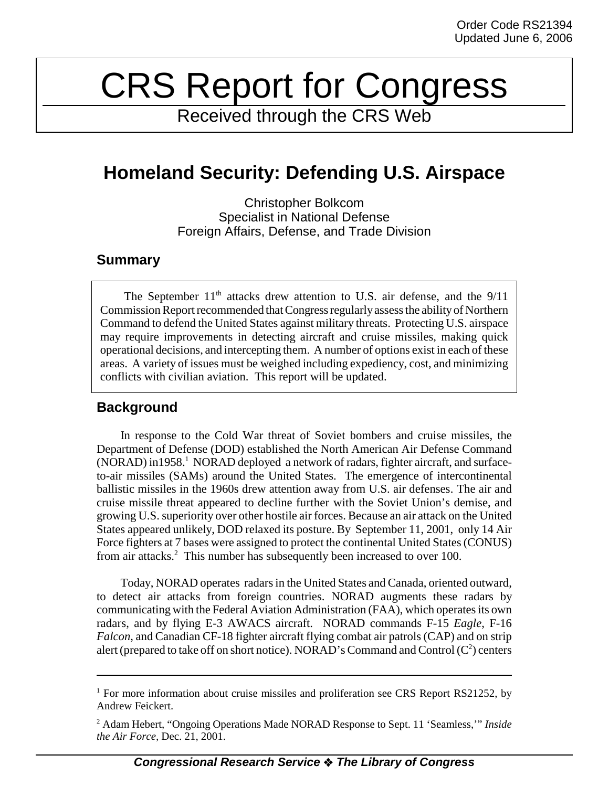# CRS Report for Congress

Received through the CRS Web

# **Homeland Security: Defending U.S. Airspace**

Christopher Bolkcom Specialist in National Defense Foreign Affairs, Defense, and Trade Division

### **Summary**

The September  $11<sup>th</sup>$  attacks drew attention to U.S. air defense, and the  $9/11$ Commission Report recommended that Congress regularly assess the ability of Northern Command to defend the United States against military threats. Protecting U.S. airspace may require improvements in detecting aircraft and cruise missiles, making quick operational decisions, and intercepting them. A number of options exist in each of these areas. A variety of issues must be weighed including expediency, cost, and minimizing conflicts with civilian aviation. This report will be updated.

# **Background**

In response to the Cold War threat of Soviet bombers and cruise missiles, the Department of Defense (DOD) established the North American Air Defense Command (NORAD) in1958.<sup>1</sup> NORAD deployed a network of radars, fighter aircraft, and surfaceto-air missiles (SAMs) around the United States. The emergence of intercontinental ballistic missiles in the 1960s drew attention away from U.S. air defenses. The air and cruise missile threat appeared to decline further with the Soviet Union's demise, and growing U.S. superiority over other hostile air forces. Because an air attack on the United States appeared unlikely, DOD relaxed its posture. By September 11, 2001, only 14 Air Force fighters at 7 bases were assigned to protect the continental United States (CONUS) from air attacks.<sup>2</sup> This number has subsequently been increased to over 100.

Today, NORAD operates radars in the United States and Canada, oriented outward, to detect air attacks from foreign countries. NORAD augments these radars by communicating with the Federal Aviation Administration (FAA), which operates its own radars, and by flying E-3 AWACS aircraft. NORAD commands F-15 *Eagle*, F-16 *Falcon*, and Canadian CF-18 fighter aircraft flying combat air patrols (CAP) and on strip alert (prepared to take off on short notice). NORAD's Command and Control ( $C^2$ ) centers

<sup>&</sup>lt;sup>1</sup> For more information about cruise missiles and proliferation see CRS Report RS21252, by Andrew Feickert.

<sup>2</sup> Adam Hebert, "Ongoing Operations Made NORAD Response to Sept. 11 'Seamless,'" *Inside the Air Force,* Dec. 21, 2001.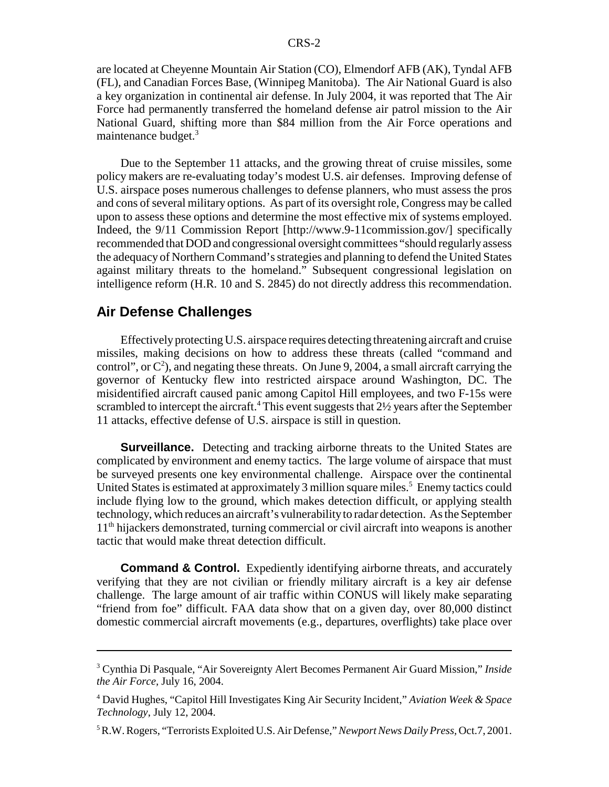are located at Cheyenne Mountain Air Station (CO), Elmendorf AFB (AK), Tyndal AFB (FL), and Canadian Forces Base, (Winnipeg Manitoba). The Air National Guard is also a key organization in continental air defense. In July 2004, it was reported that The Air Force had permanently transferred the homeland defense air patrol mission to the Air National Guard, shifting more than \$84 million from the Air Force operations and maintenance budget.3

Due to the September 11 attacks, and the growing threat of cruise missiles, some policy makers are re-evaluating today's modest U.S. air defenses. Improving defense of U.S. airspace poses numerous challenges to defense planners, who must assess the pros and cons of several military options. As part of its oversight role, Congress may be called upon to assess these options and determine the most effective mix of systems employed. Indeed, the 9/11 Commission Report [http://www.9-11commission.gov/] specifically recommended that DOD and congressional oversight committees "should regularly assess the adequacy of Northern Command's strategies and planning to defend the United States against military threats to the homeland." Subsequent congressional legislation on intelligence reform (H.R. 10 and S. 2845) do not directly address this recommendation.

## **Air Defense Challenges**

Effectively protecting U.S. airspace requires detecting threatening aircraft and cruise missiles, making decisions on how to address these threats (called "command and control", or  $C^2$ ), and negating these threats. On June 9, 2004, a small aircraft carrying the governor of Kentucky flew into restricted airspace around Washington, DC. The misidentified aircraft caused panic among Capitol Hill employees, and two F-15s were scrambled to intercept the aircraft.<sup>4</sup> This event suggests that 2½ years after the September 11 attacks, effective defense of U.S. airspace is still in question.

**Surveillance.** Detecting and tracking airborne threats to the United States are complicated by environment and enemy tactics. The large volume of airspace that must be surveyed presents one key environmental challenge. Airspace over the continental United States is estimated at approximately 3 million square miles.<sup>5</sup> Enemy tactics could include flying low to the ground, which makes detection difficult, or applying stealth technology, which reduces an aircraft's vulnerability to radar detection. As the September 11<sup>th</sup> hijackers demonstrated, turning commercial or civil aircraft into weapons is another tactic that would make threat detection difficult.

**Command & Control.** Expediently identifying airborne threats, and accurately verifying that they are not civilian or friendly military aircraft is a key air defense challenge. The large amount of air traffic within CONUS will likely make separating "friend from foe" difficult. FAA data show that on a given day, over 80,000 distinct domestic commercial aircraft movements (e.g., departures, overflights) take place over

<sup>3</sup> Cynthia Di Pasquale, "Air Sovereignty Alert Becomes Permanent Air Guard Mission," *Inside the Air Force,* July 16, 2004.

<sup>4</sup> David Hughes, "Capitol Hill Investigates King Air Security Incident," *Aviation Week & Space Technology*, July 12, 2004.

<sup>5</sup> R.W. Rogers, "Terrorists Exploited U.S. Air Defense," *Newport News Daily Press,* Oct.7, 2001.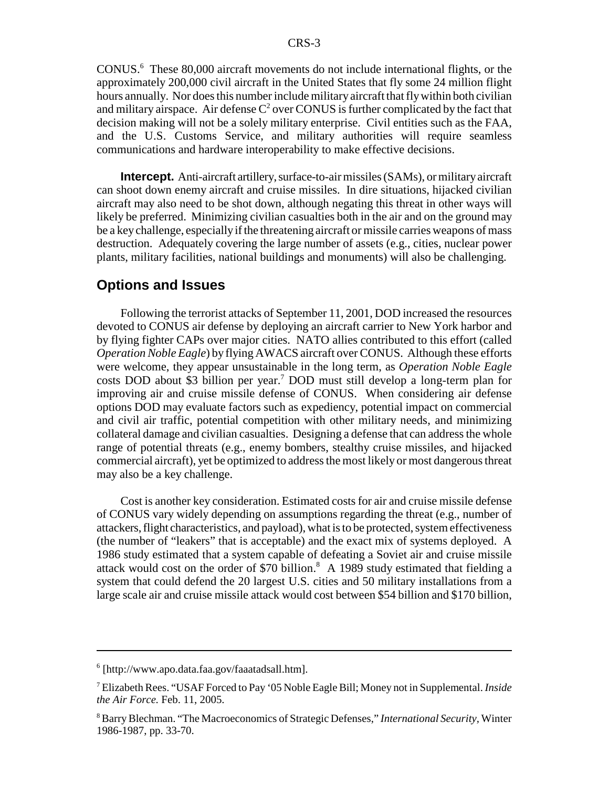CONUS.<sup>6</sup> These 80,000 aircraft movements do not include international flights, or the approximately 200,000 civil aircraft in the United States that fly some 24 million flight hours annually. Nor does this number include military aircraft that fly within both civilian and military airspace. Air defense  $C^2$  over CONUS is further complicated by the fact that decision making will not be a solely military enterprise. Civil entities such as the FAA, and the U.S. Customs Service, and military authorities will require seamless communications and hardware interoperability to make effective decisions.

**Intercept.** Anti-aircraft artillery, surface-to-air missiles (SAMs), or military aircraft can shoot down enemy aircraft and cruise missiles. In dire situations, hijacked civilian aircraft may also need to be shot down, although negating this threat in other ways will likely be preferred. Minimizing civilian casualties both in the air and on the ground may be a key challenge, especially if the threatening aircraft or missile carries weapons of mass destruction. Adequately covering the large number of assets (e.g., cities, nuclear power plants, military facilities, national buildings and monuments) will also be challenging.

#### **Options and Issues**

Following the terrorist attacks of September 11, 2001, DOD increased the resources devoted to CONUS air defense by deploying an aircraft carrier to New York harbor and by flying fighter CAPs over major cities. NATO allies contributed to this effort (called *Operation Noble Eagle*) by flying AWACS aircraft over CONUS. Although these efforts were welcome, they appear unsustainable in the long term, as *Operation Noble Eagle* costs DOD about \$3 billion per year.7 DOD must still develop a long-term plan for improving air and cruise missile defense of CONUS. When considering air defense options DOD may evaluate factors such as expediency, potential impact on commercial and civil air traffic, potential competition with other military needs, and minimizing collateral damage and civilian casualties. Designing a defense that can address the whole range of potential threats (e.g., enemy bombers, stealthy cruise missiles, and hijacked commercial aircraft), yet be optimized to address the most likely or most dangerous threat may also be a key challenge.

Cost is another key consideration. Estimated costs for air and cruise missile defense of CONUS vary widely depending on assumptions regarding the threat (e.g., number of attackers, flight characteristics, and payload), what is to be protected, system effectiveness (the number of "leakers" that is acceptable) and the exact mix of systems deployed. A 1986 study estimated that a system capable of defeating a Soviet air and cruise missile attack would cost on the order of \$70 billion. $^8$  A 1989 study estimated that fielding a system that could defend the 20 largest U.S. cities and 50 military installations from a large scale air and cruise missile attack would cost between \$54 billion and \$170 billion,

<sup>6</sup> [http://www.apo.data.faa.gov/faaatadsall.htm].

<sup>7</sup> Elizabeth Rees. "USAF Forced to Pay '05 Noble Eagle Bill; Money not in Supplemental. *Inside the Air Force.* Feb. 11, 2005.

<sup>8</sup> Barry Blechman. "The Macroeconomics of Strategic Defenses," *International Security,* Winter 1986-1987, pp. 33-70.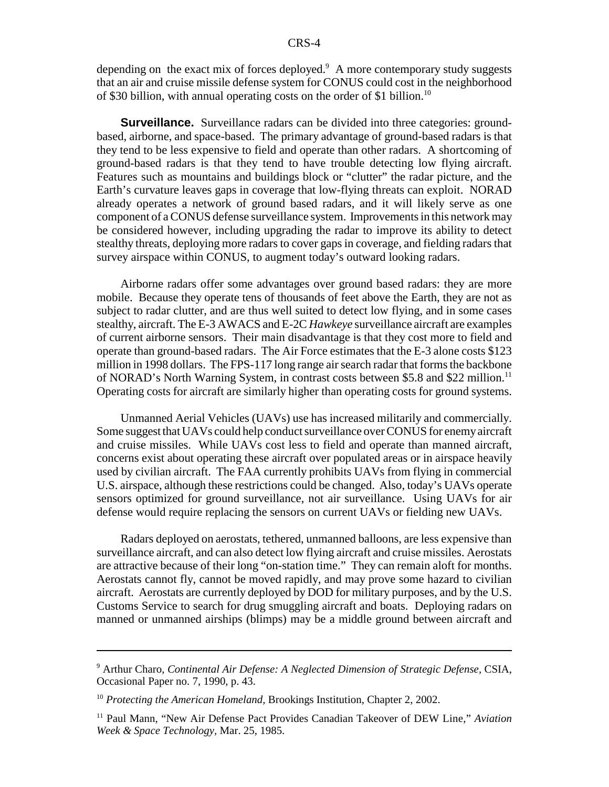depending on the exact mix of forces deployed. $9$  A more contemporary study suggests that an air and cruise missile defense system for CONUS could cost in the neighborhood of \$30 billion, with annual operating costs on the order of \$1 billion.<sup>10</sup>

**Surveillance.** Surveillance radars can be divided into three categories: groundbased, airborne, and space-based. The primary advantage of ground-based radars is that they tend to be less expensive to field and operate than other radars. A shortcoming of ground-based radars is that they tend to have trouble detecting low flying aircraft. Features such as mountains and buildings block or "clutter" the radar picture, and the Earth's curvature leaves gaps in coverage that low-flying threats can exploit. NORAD already operates a network of ground based radars, and it will likely serve as one component of a CONUS defense surveillance system. Improvements in this network may be considered however, including upgrading the radar to improve its ability to detect stealthy threats, deploying more radars to cover gaps in coverage, and fielding radars that survey airspace within CONUS, to augment today's outward looking radars.

Airborne radars offer some advantages over ground based radars: they are more mobile. Because they operate tens of thousands of feet above the Earth, they are not as subject to radar clutter, and are thus well suited to detect low flying, and in some cases stealthy, aircraft. The E-3 AWACS and E-2C *Hawkeye* surveillance aircraft are examples of current airborne sensors. Their main disadvantage is that they cost more to field and operate than ground-based radars. The Air Force estimates that the E-3 alone costs \$123 million in 1998 dollars. The FPS-117 long range air search radar that forms the backbone of NORAD's North Warning System, in contrast costs between \$5.8 and \$22 million.11 Operating costs for aircraft are similarly higher than operating costs for ground systems.

Unmanned Aerial Vehicles (UAVs) use has increased militarily and commercially. Some suggest that UAVs could help conduct surveillance over CONUS for enemy aircraft and cruise missiles. While UAVs cost less to field and operate than manned aircraft, concerns exist about operating these aircraft over populated areas or in airspace heavily used by civilian aircraft. The FAA currently prohibits UAVs from flying in commercial U.S. airspace, although these restrictions could be changed. Also, today's UAVs operate sensors optimized for ground surveillance, not air surveillance. Using UAVs for air defense would require replacing the sensors on current UAVs or fielding new UAVs.

Radars deployed on aerostats, tethered, unmanned balloons, are less expensive than surveillance aircraft, and can also detect low flying aircraft and cruise missiles. Aerostats are attractive because of their long "on-station time." They can remain aloft for months. Aerostats cannot fly, cannot be moved rapidly, and may prove some hazard to civilian aircraft. Aerostats are currently deployed by DOD for military purposes, and by the U.S. Customs Service to search for drug smuggling aircraft and boats. Deploying radars on manned or unmanned airships (blimps) may be a middle ground between aircraft and

<sup>9</sup> Arthur Charo, *Continental Air Defense: A Neglected Dimension of Strategic Defense,* CSIA, Occasional Paper no. 7, 1990, p. 43.

<sup>&</sup>lt;sup>10</sup> Protecting the American Homeland, Brookings Institution, Chapter 2, 2002.

<sup>11</sup> Paul Mann, "New Air Defense Pact Provides Canadian Takeover of DEW Line," *Aviation Week & Space Technology,* Mar. 25, 1985.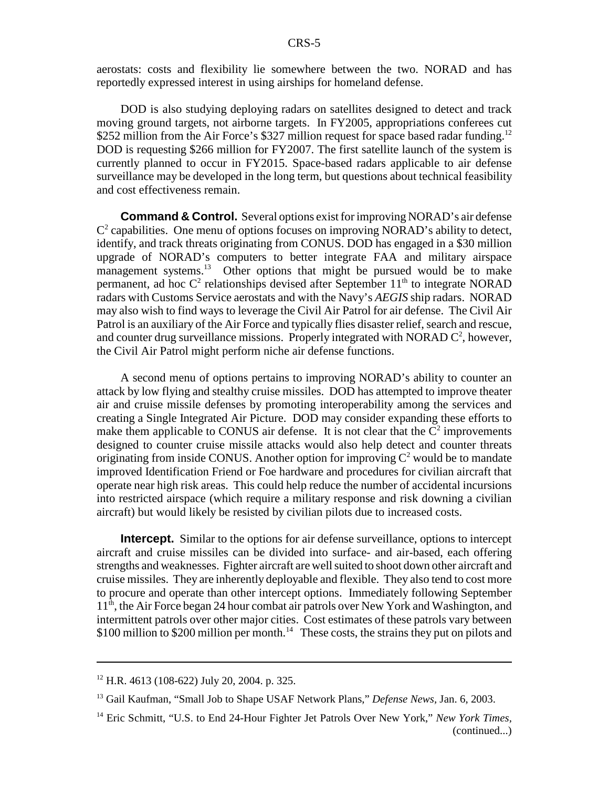aerostats: costs and flexibility lie somewhere between the two. NORAD and has reportedly expressed interest in using airships for homeland defense.

DOD is also studying deploying radars on satellites designed to detect and track moving ground targets, not airborne targets. In FY2005, appropriations conferees cut \$252 million from the Air Force's \$327 million request for space based radar funding.<sup>12</sup> DOD is requesting \$266 million for FY2007. The first satellite launch of the system is currently planned to occur in FY2015. Space-based radars applicable to air defense surveillance may be developed in the long term, but questions about technical feasibility and cost effectiveness remain.

**Command & Control.** Several options exist for improving NORAD's air defense  $C<sup>2</sup>$  capabilities. One menu of options focuses on improving NORAD's ability to detect, identify, and track threats originating from CONUS. DOD has engaged in a \$30 million upgrade of NORAD's computers to better integrate FAA and military airspace management systems.<sup>13</sup> Other options that might be pursued would be to make permanent, ad hoc  $C^2$  relationships devised after September  $11<sup>th</sup>$  to integrate NORAD radars with Customs Service aerostats and with the Navy's *AEGIS* ship radars. NORAD may also wish to find ways to leverage the Civil Air Patrol for air defense. The Civil Air Patrol is an auxiliary of the Air Force and typically flies disaster relief, search and rescue, and counter drug surveillance missions. Properly integrated with NORAD  $C^2$ , however, the Civil Air Patrol might perform niche air defense functions.

A second menu of options pertains to improving NORAD's ability to counter an attack by low flying and stealthy cruise missiles. DOD has attempted to improve theater air and cruise missile defenses by promoting interoperability among the services and creating a Single Integrated Air Picture. DOD may consider expanding these efforts to make them applicable to CONUS air defense. It is not clear that the  $C^2$  improvements designed to counter cruise missile attacks would also help detect and counter threats originating from inside CONUS. Another option for improving  $C^2$  would be to mandate improved Identification Friend or Foe hardware and procedures for civilian aircraft that operate near high risk areas. This could help reduce the number of accidental incursions into restricted airspace (which require a military response and risk downing a civilian aircraft) but would likely be resisted by civilian pilots due to increased costs.

**Intercept.** Similar to the options for air defense surveillance, options to intercept aircraft and cruise missiles can be divided into surface- and air-based, each offering strengths and weaknesses. Fighter aircraft are well suited to shoot down other aircraft and cruise missiles. They are inherently deployable and flexible. They also tend to cost more to procure and operate than other intercept options. Immediately following September 11<sup>th</sup>, the Air Force began 24 hour combat air patrols over New York and Washington, and intermittent patrols over other major cities. Cost estimates of these patrols vary between  $$100$  million to  $$200$  million per month.<sup>14</sup> These costs, the strains they put on pilots and

<sup>12</sup> H.R. 4613 (108-622) July 20, 2004. p. 325.

<sup>13</sup> Gail Kaufman, "Small Job to Shape USAF Network Plans," *Defense News,* Jan. 6, 2003.

<sup>14</sup> Eric Schmitt, "U.S. to End 24-Hour Fighter Jet Patrols Over New York," *New York Times,* (continued...)